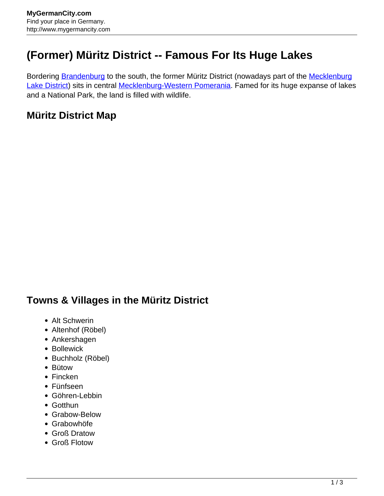## **(Former) Müritz District -- Famous For Its Huge Lakes**

Bordering **[Brandenburg](http://www.mygermancity.com/brandenburg)** to the south, the former Müritz District (nowadays part of the **[Mecklenburg](http://www.mygermancity.com/mecklenburg-lake-district)** [Lake District\)](http://www.mygermancity.com/mecklenburg-lake-district) sits in central [Mecklenburg-Western Pomerania.](http://www.mygermancity.com/mecklenburg-western-pomerania) Famed for its huge expanse of lakes and a National Park, the land is filled with wildlife.

## **Müritz District Map**

## **Towns & Villages in the Müritz District**

- Alt Schwerin
- Altenhof (Röbel)
- Ankershagen
- Bollewick
- Buchholz (Röbel)
- Bütow
- Fincken
- Fünfseen
- Göhren-Lebbin
- Gotthun
- Grabow-Below
- Grabowhöfe
- Groß Dratow
- Groß Flotow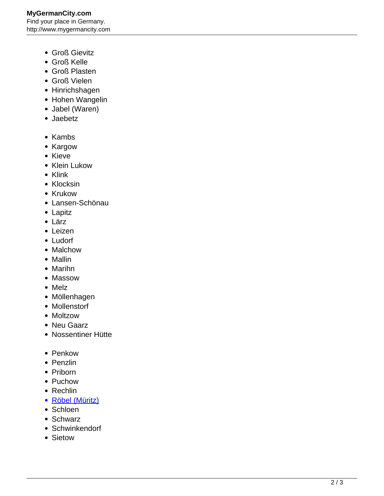- Groß Gievitz
- Groß Kelle
- Groß Plasten
- Groß Vielen
- Hinrichshagen
- Hohen Wangelin
- Jabel (Waren)
- Jaebetz
- Kambs
- Kargow
- Kieve
- Klein Lukow
- Klink
- Klocksin
- Krukow
- Lansen-Schönau
- Lapitz
- Lärz
- Leizen
- Ludorf
- Malchow
- Mallin
- Marihn
- Massow
- Melz
- Möllenhagen
- Mollenstorf
- Moltzow
- Neu Gaarz
- Nossentiner Hütte
- Penkow
- Penzlin
- Priborn
- Puchow
- Rechlin
- [Röbel \(Müritz\)](http://www.mygermancity.com/roebel)
- Schloen
- Schwarz
- Schwinkendorf
- Sietow